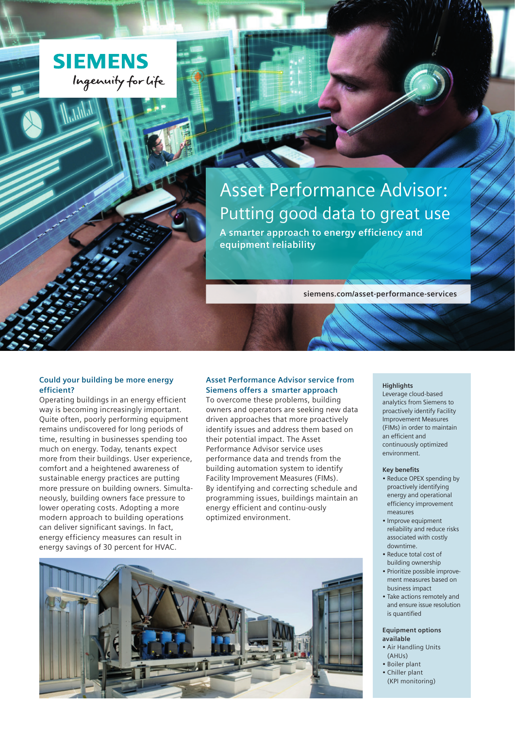

Asset Performance Advisor: Putting good data to great use **A smarter approach to energy efficiency and equipment reliability**

**siemens.com/asset-performance-services** 

# **Could your building be more energy efficient?**

Operating buildings in an energy efficient way is becoming increasingly important. Quite often, poorly performing equipment remains undiscovered for long periods of time, resulting in businesses spending too much on energy. Today, tenants expect more from their buildings. User experience, comfort and a heightened awareness of sustainable energy practices are putting more pressure on building owners. Simultaneously, building owners face pressure to lower operating costs. Adopting a more modern approach to building operations can deliver significant savings. In fact, energy efficiency measures can result in energy savings of 30 percent for HVAC.

# **Asset Performance Advisor service from Siemens offers a smarter approach**

To overcome these problems, building owners and operators are seeking new data driven approaches that more proactively identify issues and address them based on their potential impact. The Asset Performance Advisor service uses performance data and trends from the building automation system to identify Facility Improvement Measures (FIMs). By identifying and correcting schedule and programming issues, buildings maintain an energy efficient and continu-ously optimized environment.



#### **Highlights**

Leverage cloud-based analytics from Siemens to proactively identify Facility Improvement Measures (FIMs) in order to maintain an efficient and continuously optimized environment.

## **Key benefits**

- Reduce OPEX spending by proactively identifying energy and operational efficiency improvement measures
- Improve equipment reliability and reduce risks associated with costly downtime.
- Reduce total cost of building ownership
- Prioritize possible improvement measures based on business impact
- Take actions remotely and and ensure issue resolution is quantified

### **Equipment options available**

- Air Handling Units (AHUs)
- Boiler plant
- Chiller plant (KPI monitoring)